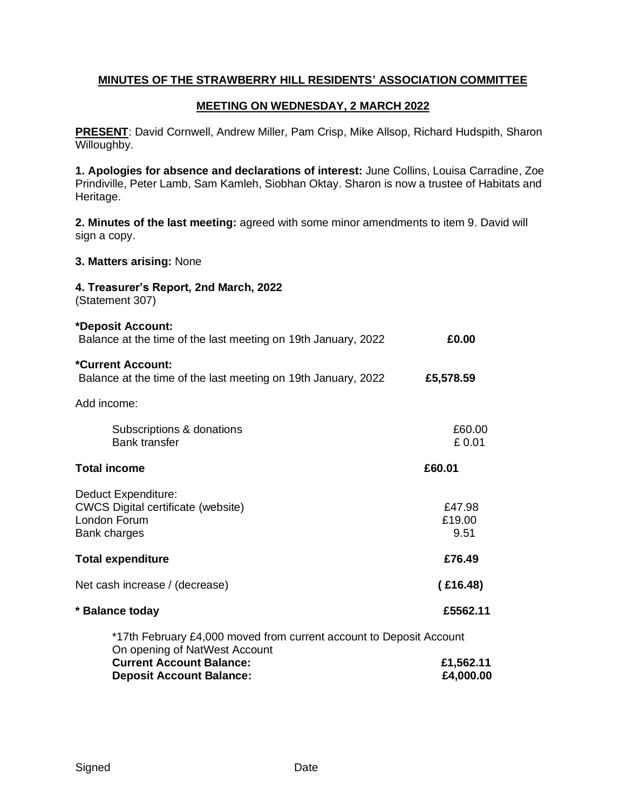## **MINUTES OF THE STRAWBERRY HILL RESIDENTS' ASSOCIATION COMMITTEE**

## **MEETING ON WEDNESDAY, 2 MARCH 2022**

**PRESENT**: David Cornwell, Andrew Miller, Pam Crisp, Mike Allsop, Richard Hudspith, Sharon Willoughby.

**1. Apologies for absence and declarations of interest:** June Collins, Louisa Carradine, Zoe Prindiville, Peter Lamb, Sam Kamleh, Siobhan Oktay. Sharon is now a trustee of Habitats and Heritage.

**2. Minutes of the last meeting:** agreed with some minor amendments to item 9. David will sign a copy.

**3. Matters arising:** None

**4. Treasurer's Report, 2nd March, 2022**

(Statement 307)

| *Deposit Account:<br>Balance at the time of the last meeting on 19th January, 2022                      | £0.00                    |
|---------------------------------------------------------------------------------------------------------|--------------------------|
| *Current Account:<br>Balance at the time of the last meeting on 19th January, 2022                      | £5,578.59                |
| Add income:                                                                                             |                          |
| Subscriptions & donations<br><b>Bank transfer</b>                                                       | £60.00<br>£0.01          |
| <b>Total income</b>                                                                                     | £60.01                   |
| Deduct Expenditure:<br><b>CWCS Digital certificate (website)</b><br>London Forum<br><b>Bank charges</b> | £47.98<br>£19.00<br>9.51 |
| <b>Total expenditure</b>                                                                                | £76.49                   |
| Net cash increase / (decrease)                                                                          | (£16.48)                 |
| * Balance today                                                                                         | £5562.11                 |
| *17th February £4,000 moved from current account to Deposit Account                                     |                          |
| On opening of NatWest Account<br><b>Current Account Balance:</b><br><b>Deposit Account Balance:</b>     | £1,562.11<br>£4,000.00   |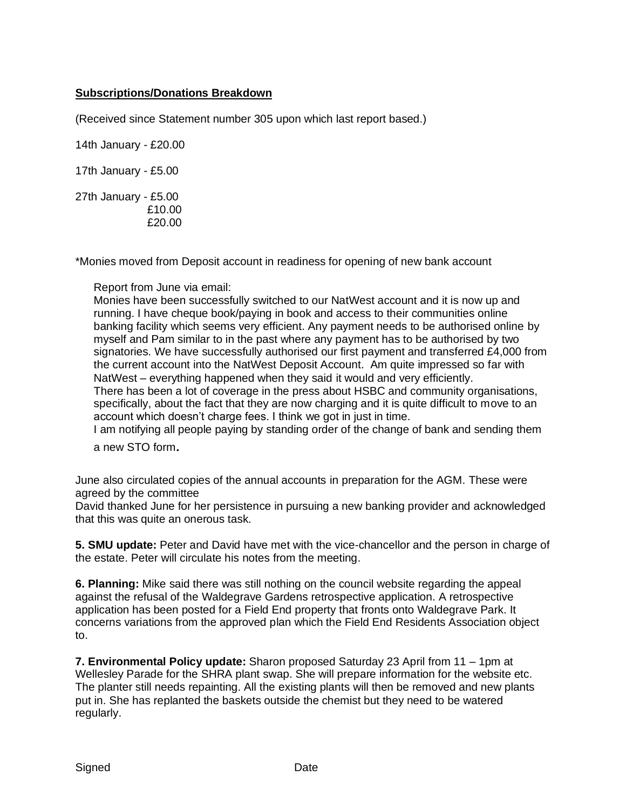## **Subscriptions/Donations Breakdown**

(Received since Statement number 305 upon which last report based.)

14th January - £20.00

17th January - £5.00

27th January - £5.00 £10.00 £20.00

\*Monies moved from Deposit account in readiness for opening of new bank account

Report from June via email:

Monies have been successfully switched to our NatWest account and it is now up and running. I have cheque book/paying in book and access to their communities online banking facility which seems very efficient. Any payment needs to be authorised online by myself and Pam similar to in the past where any payment has to be authorised by two signatories. We have successfully authorised our first payment and transferred £4,000 from the current account into the NatWest Deposit Account. Am quite impressed so far with NatWest – everything happened when they said it would and very efficiently. There has been a lot of coverage in the press about HSBC and community organisations, specifically, about the fact that they are now charging and it is quite difficult to move to an account which doesn't charge fees. I think we got in just in time.

I am notifying all people paying by standing order of the change of bank and sending them <sup>a</sup> new STO form.

June also circulated copies of the annual accounts in preparation for the AGM. These were agreed by the committee

David thanked June for her persistence in pursuing a new banking provider and acknowledged that this was quite an onerous task.

**5. SMU update:** Peter and David have met with the vice-chancellor and the person in charge of the estate. Peter will circulate his notes from the meeting.

**6. Planning:** Mike said there was still nothing on the council website regarding the appeal against the refusal of the Waldegrave Gardens retrospective application. A retrospective application has been posted for a Field End property that fronts onto Waldegrave Park. It concerns variations from the approved plan which the Field End Residents Association object to.

**7. Environmental Policy update:** Sharon proposed Saturday 23 April from 11 – 1pm at Wellesley Parade for the SHRA plant swap. She will prepare information for the website etc. The planter still needs repainting. All the existing plants will then be removed and new plants put in. She has replanted the baskets outside the chemist but they need to be watered regularly.